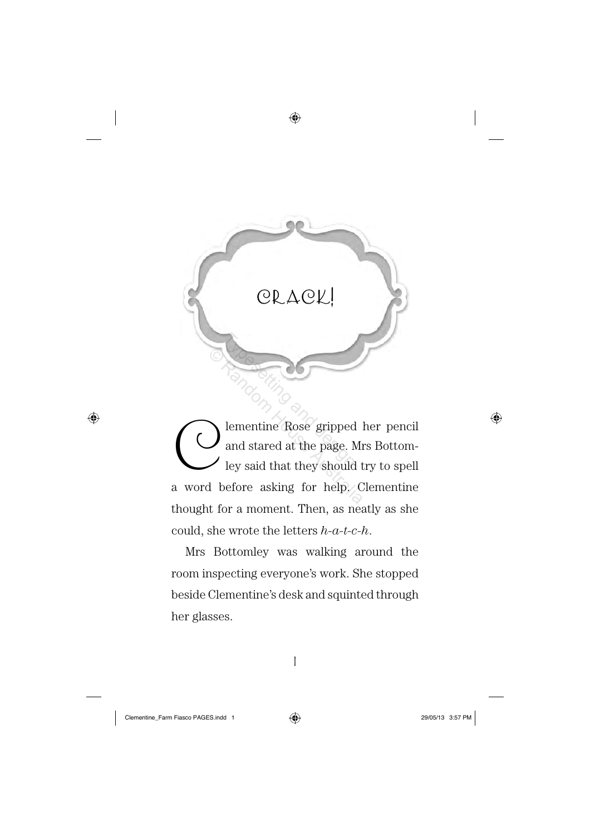## Crack!

C lementine Rose gripped her pencil<br>and stared at the page. Mrs Bottom-<br>ley said that they should try to spell and stared at the page. Mrs Bottomley said that they should try to spell a word before asking for help. Clementine thought for a moment. Then, as neatly as she could, she wrote the letters *h-a-t-c-h*. Typesetting and stared at the page. Note that they should Comparison Comparison Comparison Comparison Comparison Comparison Comparison Comparison Comparison Comparison Comparison Comparison Comparison Comparison Comparison Comparison Comparison Comparison Comparison Comparison Co

Mrs Bottomley was walking around the room inspecting everyone's work. She stopped beside Clementine's desk and squinted through her glasses.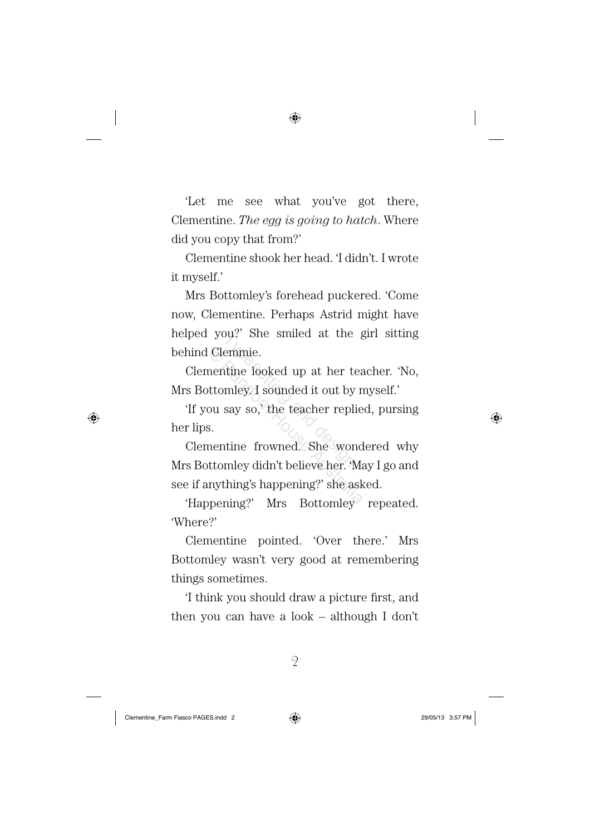'Let me see what you've got there, Clementine. *The egg is going to hatch*. Where did you copy that from?'

Clementine shook her head. 'I didn't. I wrote it myself.'

Mrs Bottomley's forehead puckered. 'Come now, Clementine. Perhaps Astrid might have helped you?' She smiled at the girl sitting behind Clemmie.

Clementine looked up at her teacher. 'No, Mrs Bottomley. I sounded it out by myself.'

'If you say so,' the teacher replied, pursing her lips. ou: She shined at the<br>emmie.<br>tine looked up at her te<br>mley. I sounded it out by<br>say so,' the teacher repli<br>tine frowned. She won<br>mley didn't believe her. 'A

Clementine frowned. She wondered why Mrs Bottomley didn't believe her. 'May I go and see if anything's happening?' she asked. Clemmie.<br>
nentine looked up at her teat<br>
ttomley. I sounded it out by r<br>
ou say so,' the teacher replie<br>
s.<br>
nentine frowned. She wond<br>
ttomley didn't believe her. 'Ma<br>
nything's happening?' she ask<br>
nening?' Mrs - Bottoml

'Happening?' Mrs Bottomley repeated. 'Where?'

Clementine pointed. 'Over there.' Mrs Bottomley wasn't very good at remembering things sometimes.

I think you should draw a picture first, and then you can have a look – although I don't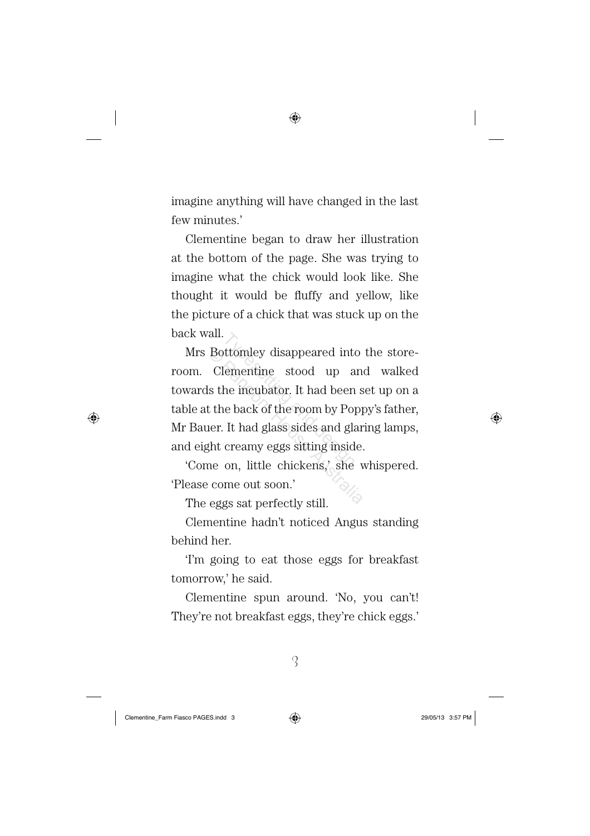imagine anything will have changed in the last few minutes<sup>'</sup>

Clementine began to draw her illustration at the bottom of the page. She was trying to imagine what the chick would look like. She thought it would be fluffy and yellow, like the picture of a chick that was stuck up on the back wall.

Mrs Bottomley disappeared into the storeroom. Clementine stood up and walked towards the incubator. It had been set up on a table at the back of the room by Poppy's father, Mr Bauer. It had glass sides and glaring lamps, and eight creamy eggs sitting inside. tomley disappeared into<br>lementine stood up a<br>he incubator. It had been<br>le back of the room by Pop<br>It had glass sides and gla<br>creamy eggs sitting insid<br>on, little chickens,' she Bottomley disappeared into<br>Clementine stood up an<br>ls the incubator. It had been s<br>t the back of the room by Popp<br>uer. It had glass sides and glar<br>ght creamy eggs sitting inside<br>ne on, little chickens,' she v<br>come out soon.

'Come on, little chickens,' she whispered. 'Please come out soon.'

The eggs sat perfectly still.

Clementine hadn't noticed Angus standing behind her.

'I'm going to eat those eggs for breakfast tomorrow,' he said.

Clementine spun around. 'No, you can't! They're not breakfast eggs, they're chick eggs.'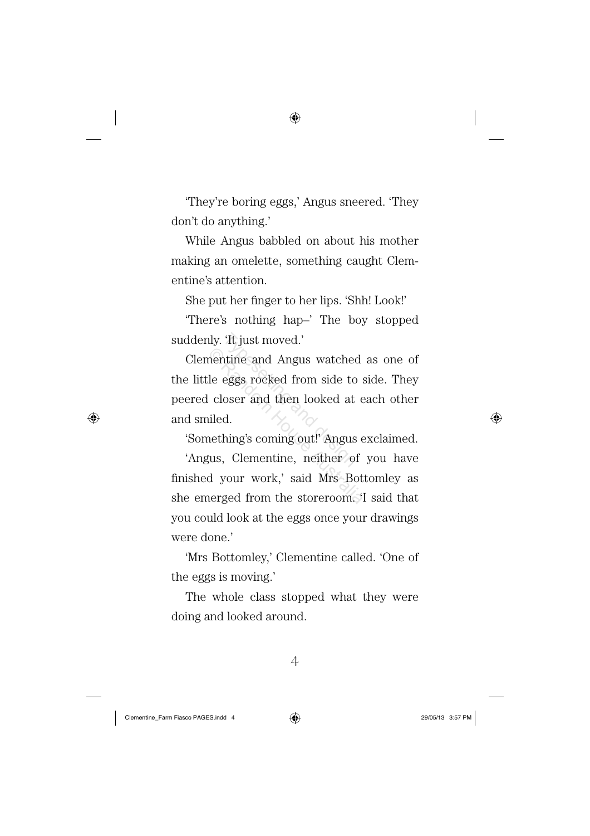'They're boring eggs,' Angus sneered. 'They don't do anything.'

While Angus babbled on about his mother making an omelette, something caught Clementine's attention.

She put her finger to her lips. 'Shh! Look!'

'There's nothing hap–' The boy stopped suddenly. 'It just moved.'

Clementine and Angus watched as one of the little eggs rocked from side to side. They peered closer and then looked at each other and smiled. 'It just moved.'<br>
itine and Angus watched<br>
eggs rocked from side to<br>
oser and then looked at<br>
d.<br>
hing's coming out!' Angus<br>
, Clementine, neither o mentine and Angus watched<br>le eggs rocked from side to :<br>l closer and then looked at  $\epsilon$ <br>niled.<br>nething's coming out!' Angus  $\epsilon$ <br>gus, Clementine, neither of<br>d your work,' said Mrs Bot<br>nerged from the storeroom. '

'Something's coming out!' Angus exclaimed.

'Angus, Clementine, neither of you have finished your work,' said Mrs Bottomley as she emerged from the storeroom. 'I said that you could look at the eggs once your drawings were done.'

'Mrs Bottomley,' Clementine called. 'One of the eggs is moving.'

The whole class stopped what they were doing and looked around.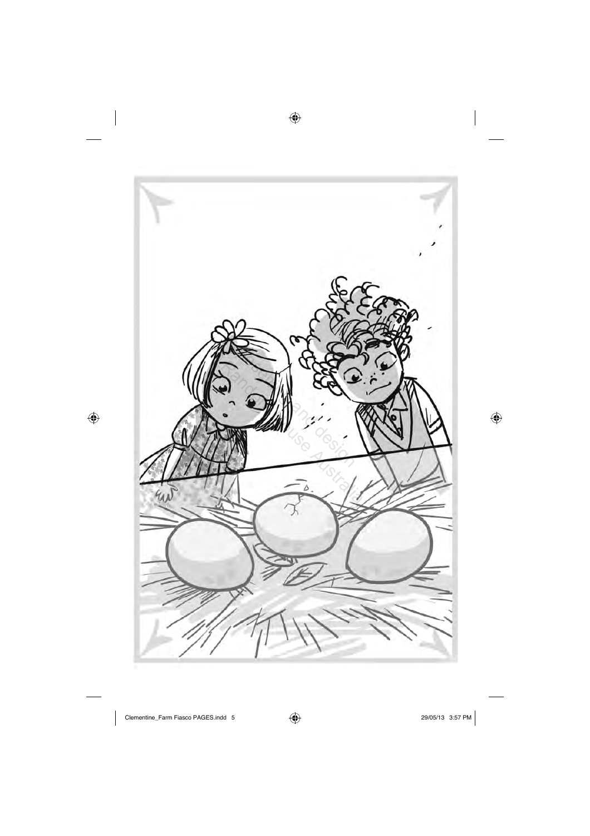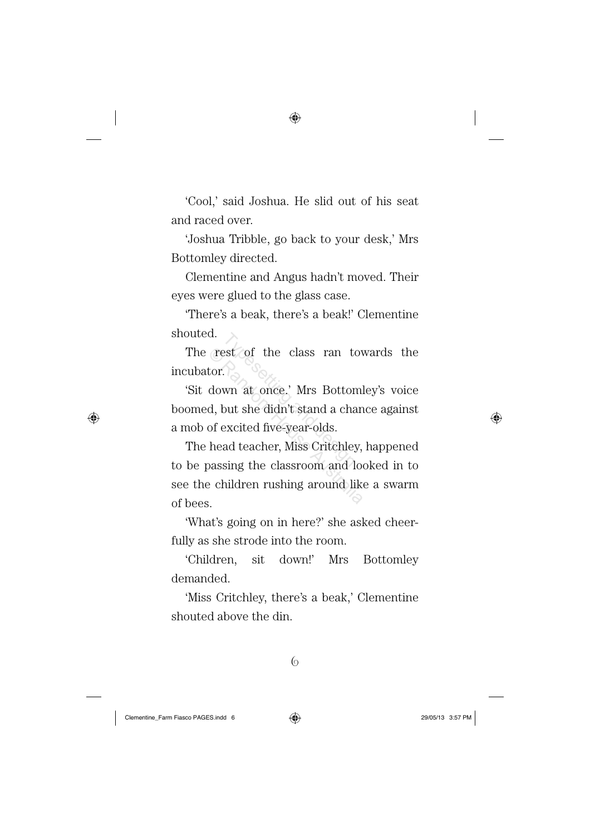'Cool,' said Joshua. He slid out of his seat and raced over.

'Joshua Tribble, go back to your desk,' Mrs Bottomley directed.

Clementine and Angus hadn't moved. Their eyes were glued to the glass case.

'There's a beak, there's a beak!' Clementine shouted.

The rest of the class ran towards the incubator.

'Sit down at once.' Mrs Bottomley's voice boomed, but she didn't stand a chance against a mob of excited five-year-olds. est of the class ran to<br>wn at once.' Mrs Bottor<br>out she didn't stand a cha<br>excited five-year-olds.<br>ad teacher, Miss Critchley<br>sing the classroom and l

The head teacher, Miss Critchley, happened to be passing the classroom and looked in to see the children rushing around like a swarm of bees. rest of the class ran tow<br>tor.<br>down at once.' Mrs Bottom<br>d, but she didn't stand a chan<br>of excited five-year-olds.<br>head teacher, Miss Critchley,<br>passing the classroom and lo<br>e children rushing around lik

'What's going on in here?' she asked cheerfully as she strode into the room.

'Children, sit down!' Mrs Bottomley demanded.

'Miss Critchley, there's a beak,' Clementine shouted above the din.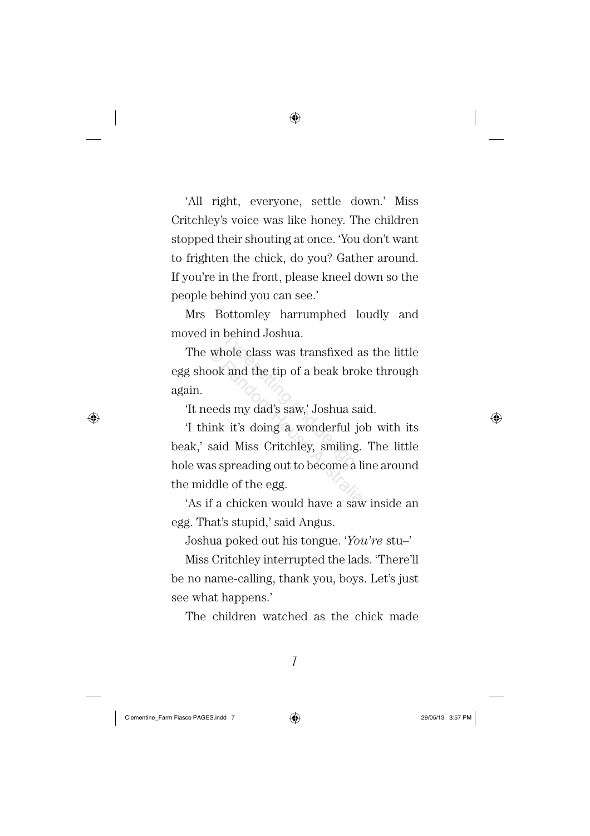'All right, everyone, settle down.' Miss Critchley's voice was like honey. The children stopped their shouting at once. 'You don't want to frighten the chick, do you? Gather around. If you're in the front, please kneel down so the people behind you can see.'

Mrs Bottomley harrumphed loudly and moved in behind Joshua.

The whole class was transfixed as the little egg shook and the tip of a beak broke through again.

'It needs my dad's saw,' Joshua said.

'I think it's doing a wonderful job with its beak,' said Miss Critchley, smiling. The little hole was spreading out to become a line around the middle of the egg. bening Josnua.<br>
hole class was transfixed<br>
c and the tip of a beak bro<br>
ls my dad's saw,' Joshua s<br>
c it's doing a wonderful<br>
d Miss Critchley, smiling<br>
spreading out to become a whole class was transfixed a<br>pok and the tip of a beak brok<br>eeds my dad's saw,' Joshua sa<br>ink it's doing a wonderful jc<br>said Miss Critchley, smiling.<br>as spreading out to become a li<br>ddle of the egg.<br>f a chicken would have

'As if a chicken would have a saw inside an egg. That's stupid,' said Angus.

Joshua poked out his tongue. '*You're* stu–'

Miss Critchley interrupted the lads. 'There'll be no name-calling, thank you, boys. Let's just see what happens.'

The children watched as the chick made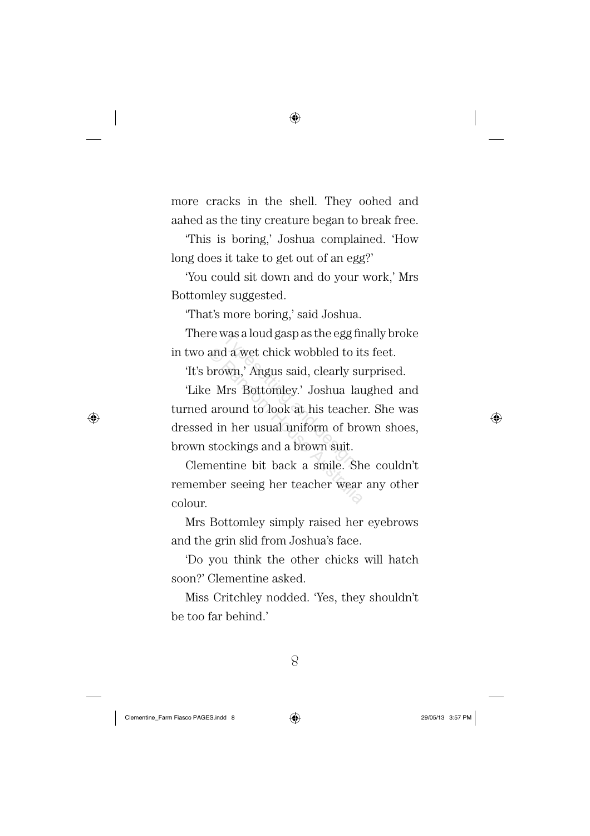more cracks in the shell. They oohed and aahed as the tiny creature began to break free.

'This is boring,' Joshua complained. 'How long does it take to get out of an egg?'

'You could sit down and do your work,' Mrs Bottomley suggested.

'That's more boring,' said Joshua.

There was a loud gasp as the egg finally broke in two and a wet chick wobbled to its feet.

'It's brown,' Angus said, clearly surprised.

'Like Mrs Bottomley.' Joshua laughed and turned around to look at his teacher. She was dressed in her usual uniform of brown shoes, brown stockings and a brown suit. was a foud gasp as the egg i<br>d a wet chick wobbled to<br>wm,' Angus said, clearly s<br>frs Bottomley.' Joshua la<br>ound to look at his teach<br>n her usual uniform of bi<br>ockings and a brown suit.<br>titine bit back a smile. S and a wet chick wobbled to it<br>brown,' Angus said, clearly su<br>e Mrs Bottomley.' Joshua lat<br>around to look at his teache<br>d in her usual uniform of brc<br>stockings and a brown suit.<br>nentine bit back a smile. Sh<br>ber seeing her t

Clementine bit back a smile. She couldn't remember seeing her teacher wear any other colour.

Mrs Bottomley simply raised her eyebrows and the grin slid from Joshua's face.

'Do you think the other chicks will hatch soon?' Clementine asked.

Miss Critchley nodded. 'Yes, they shouldn't be too far behind.'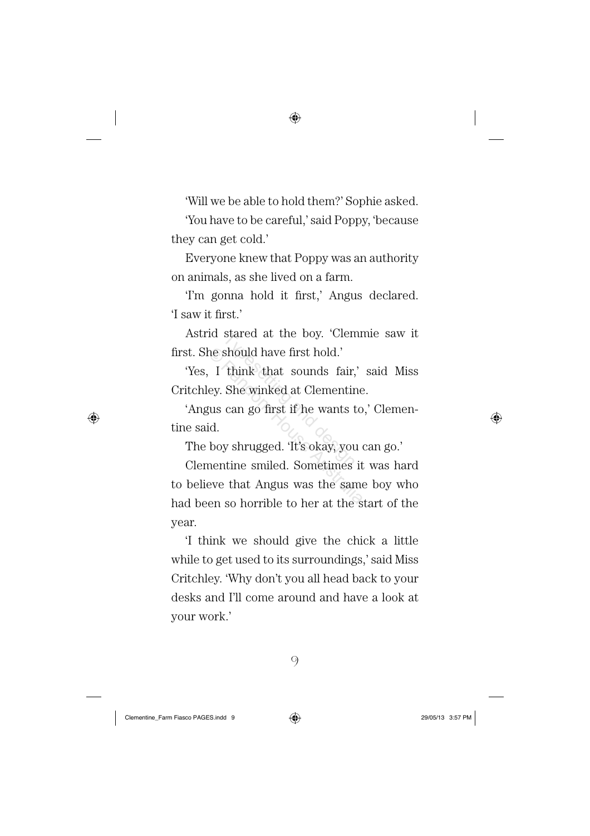'Will we be able to hold them?' Sophie asked.

'You have to be careful,' said Poppy, 'because they can get cold.'

Everyone knew that Poppy was an authority on animals, as she lived on a farm.

'I'm gonna hold it first,' Angus declared. 'I saw it first.'

Astrid stared at the boy. 'Clemmie saw it first. She should have first hold.'

'Yes, I think that sounds fair,' said Miss Critchley. She winked at Clementine.

'Angus can go first if he wants to,' Clementine said. stared at the boy. Cleft<br>should have first hold.'<br>think that sounds fair,<br>She winked at Clementir<br>can go first if he wants t<br>y shrugged. 'It's okay, you<br>tine smiled. Sometimes

The boy shrugged. 'It's okay, you can go.'

Clementine smiled. Sometimes it was hard to believe that Angus was the same boy who had been so horrible to her at the start of the year. he should have first hold.'<br>
I think that sounds fair,'<br>
ey. She winked at Clementine<br>
gus can go first if he wants to<br>
id.<br>
boy shrugged. 'It's okay, you<br>
nentine smiled. Sometimes it<br>
eve that Angus was the same<br>
en so h

'I think we should give the chick a little while to get used to its surroundings,' said Miss Critchley. 'Why don't you all head back to your desks and I'll come around and have a look at your work.'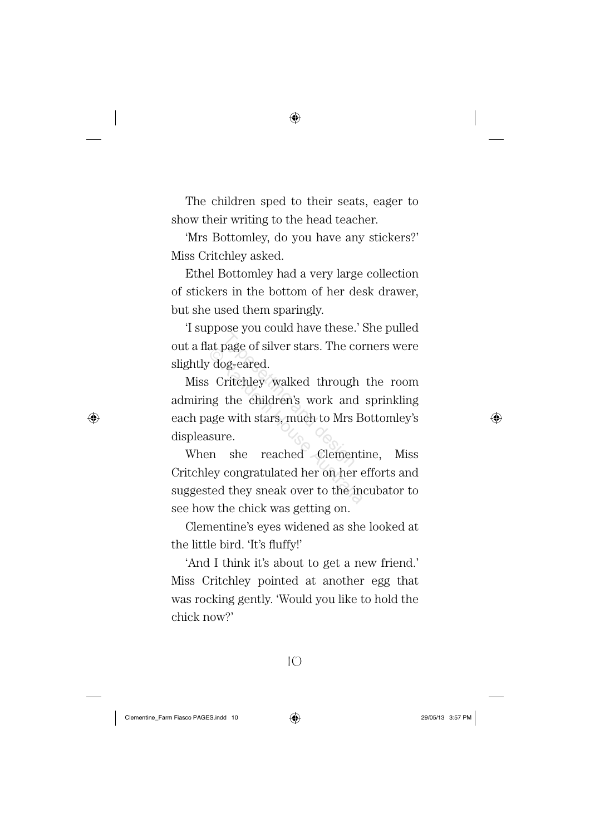The children sped to their seats, eager to show their writing to the head teacher.

'Mrs Bottomley, do you have any stickers?' Miss Critchley asked.

Ethel Bottomley had a very large collection of stickers in the bottom of her desk drawer, but she used them sparingly.

'I suppose you could have these.' She pulled out a flat page of silver stars. The corners were slightly dog-eared.

Miss Critchley walked through the room admiring the children's work and sprinkling each page with stars, much to Mrs Bottomley's displeasure. page of silver stars. The conservative and design the children's work and<br>the children's work and<br>the children's work and<br>the silver and design the reached Clemen<br>construkted being been at page of silver stars. The control of dog-eared.<br>
Solution House Australian School of the children's work and age with stars, much to Mrs B<br>
sure.<br>
The reached Clementian School of the page of the small of the small of t

When she reached Clementine, Miss Critchley congratulated her on her efforts and suggested they sneak over to the incubator to see how the chick was getting on.

Clementine's eyes widened as she looked at the little bird. 'It's fluffy!'

'And I think it's about to get a new friend.' Miss Critchley pointed at another egg that was rocking gently. 'Would you like to hold the chick now?'